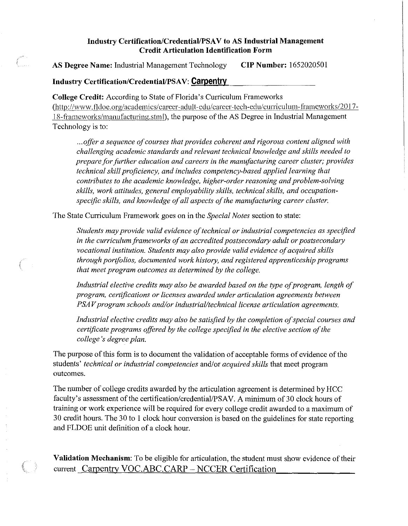## **Industry Certification/Credential/PSA V to AS Industrial Management Credit Articulation Identification Form**

**AS Degree Name:** Industrial Management Technology **CIP Number:** 1652020501

## **Industry Certification/Credential/PSAV: Carpentry.**

**College Credit:** According to State of Florida's Curriculum Frameworks [\(http://www.fldoc.org/academics/career-adult-edu/career-tcch-edu/curriculum-frameworks/201](http://www.fldoc.org/academics/career-adult-edu/career-tcch-edu/curriculum-frameworks/201) 7- 18-frameworks/manufacturing.stml), the purpose of the AS Degree in Industrial Management Technology is to:

... offer a sequence of courses that provides coherent and rigorous content aligned with *challenging academic standards and relevant technical knowledge and sldlls needed to prepare for further education and careers in the manufacturing career cluster; provides technical skill proficiency, and includes competency-based applied learning that contributes to the academic knowledge, higher-order reasoning and problem-solving* skills, work attitudes, general employability skills, technical skills, and occupationspecific skills, and knowledge of all aspects of the manufacturing career cluster.

The State Curriculum Framework goes on in the *Special Notes* section to state:

Students may provide valid evidence of technical or industrial competencies as specified in the curriculum frameworks of an accredited postsecondary adult or postsecondary *vocational institution. Students may also provide valid evidence of acquired skills through portfolios, documented work history, and registered apprenticeship programs that meet program outcomes as determined by the college.* 

*Industrial elective credits may also be awarded based on the type of program, length of program, certifications or licenses awarded under articulation agreements between PSAV program schools and/or industrial/technical license articulation agreements.* 

Industrial elective credits may also be satisfied by the completion of special courses and *certificate programs offered by the college specified in the elective section of the college 's degree plan.* 

The purpose of this form is to document the validation of acceptable forms of evidence of the students' *technical or industrial competencies* and/or *acquired skills* that meet program outcomes.

The number of college credits awarded by the articulation agreement is determined by HCC faculty's assessment of the certification/credential/PSAV. A minimum of 30 clock hours of training or work experience will be required for every college credit awarded to a maximum of 30 credit hours. The 30 to 1 clock hour conversion is based on the guidelines for state reporting and FLDOE unit definition of a clock hour.

**Validation Mechanism:** To be eligible for articulation, the student must show evidence of their current Carpentry VOC.ABC.CARP - NCCER Certification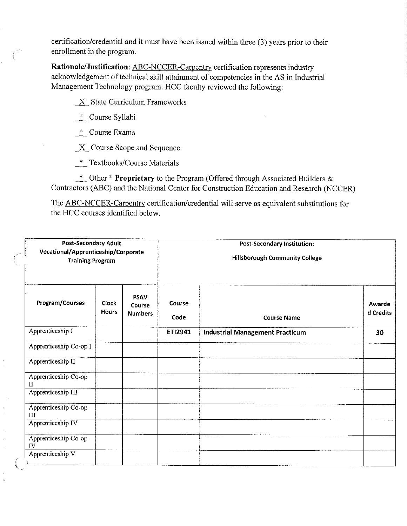certification/credential and it must have been issued within three (3) years prior to their enrollment in the program.

**Rationale/Justification:** ABC-NCCER-Carpentry certification represents industry acknowledgement of technical skill attainment of competencies in the AS in Industrial Management Technology program. HCC faculty reviewed the following:

 $X$  State Curriculum Frameworks

- \_\*\_ Course Syllabi
- \_\*\_ Course Exams

 $\underline{X}$  Course Scope and Sequence

\_\*\_ Textbooks/Course Materials

\_\*\_ Other \* **Proprietary** to the Program (Offered through Associated Builders & Contractors (ABC) and the National Center for Construction Education and Research (NCCER)

The ABC-NCCER-Carpentry certification/credential will serve as equivalent substitutions for the HCC courses identified below.

| <b>Post-Secondary Adult</b><br>Vocational/Apprenticeship/Corporate<br><b>Training Program</b> |                              |                                         | <b>Post-Secondary Institution:</b><br><b>Hillsborough Community College</b> |                                        |                     |
|-----------------------------------------------------------------------------------------------|------------------------------|-----------------------------------------|-----------------------------------------------------------------------------|----------------------------------------|---------------------|
| Program/Courses                                                                               | <b>Clock</b><br><b>Hours</b> | <b>PSAV</b><br>Course<br><b>Numbers</b> | Course<br>Code                                                              | <b>Course Name</b>                     | Awarde<br>d Credits |
| Apprenticeship I                                                                              |                              |                                         | ETI2941                                                                     | <b>Industrial Management Practicum</b> | 30                  |
| Apprenticeship Co-op I                                                                        |                              |                                         |                                                                             |                                        |                     |
| Apprenticeship II                                                                             |                              |                                         |                                                                             |                                        |                     |
| Apprenticeship Co-op<br>$\mathbf{H}$                                                          |                              |                                         |                                                                             |                                        |                     |
| Apprenticeship III                                                                            |                              |                                         |                                                                             |                                        |                     |
| Apprenticeship Co-op<br>III                                                                   |                              |                                         |                                                                             |                                        |                     |
| Apprenticeship IV                                                                             |                              |                                         |                                                                             |                                        |                     |
| Apprenticeship Co-op<br>IV                                                                    |                              |                                         |                                                                             |                                        |                     |
| Apprenticeship V                                                                              |                              |                                         |                                                                             |                                        |                     |